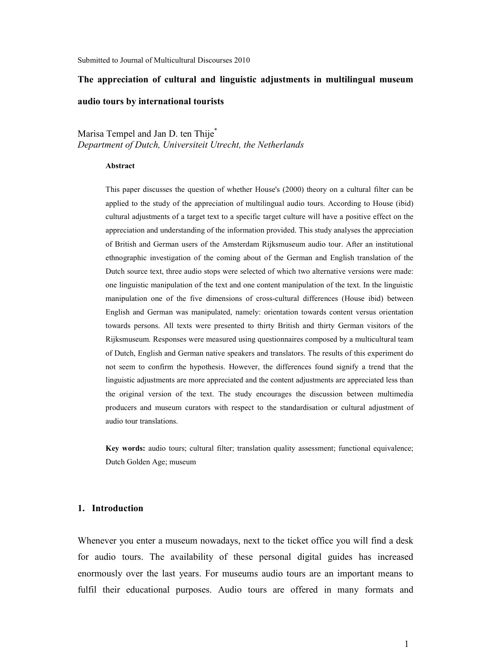# The appreciation of cultural and linguistic adjustments in multilingual museum audio tours by international tourists

Marisa Tempel and Jan D. ten Thije<sup>\*</sup> Department of Dutch, Universiteit Utrecht, the Netherlands

## Abstract

This paper discusses the question of whether House's (2000) theory on a cultural filter can be applied to the study of the appreciation of multilingual audio tours. According to House (ibid) cultural adjustments of a target text to a specific target culture will have a positive effect on the appreciation and understanding of the information provided. This study analyses the appreciation of British and German users of the Amsterdam Rijksmuseum audio tour. After an institutional ethnographic investigation of the coming about of the German and English translation of the Dutch source text, three audio stops were selected of which two alternative versions were made: one linguistic manipulation of the text and one content manipulation of the text. In the linguistic manipulation one of the five dimensions of cross-cultural differences (House ibid) between English and German was manipulated, namely: orientation towards content versus orientation towards persons. All texts were presented to thirty British and thirty German visitors of the Rijksmuseum. Responses were measured using questionnaires composed by a multicultural team of Dutch, English and German native speakers and translators. The results of this experiment do not seem to confirm the hypothesis. However, the differences found signify a trend that the linguistic adjustments are more appreciated and the content adjustments are appreciated less than the original version of the text. The study encourages the discussion between multimedia producers and museum curators with respect to the standardisation or cultural adjustment of audio tour translations.

Key words: audio tours; cultural filter; translation quality assessment; functional equivalence; Dutch Golden Age; museum

# 1. Introduction

Whenever you enter a museum nowadays, next to the ticket office you will find a desk for audio tours. The availability of these personal digital guides has increased enormously over the last years. For museums audio tours are an important means to fulfil their educational purposes. Audio tours are offered in many formats and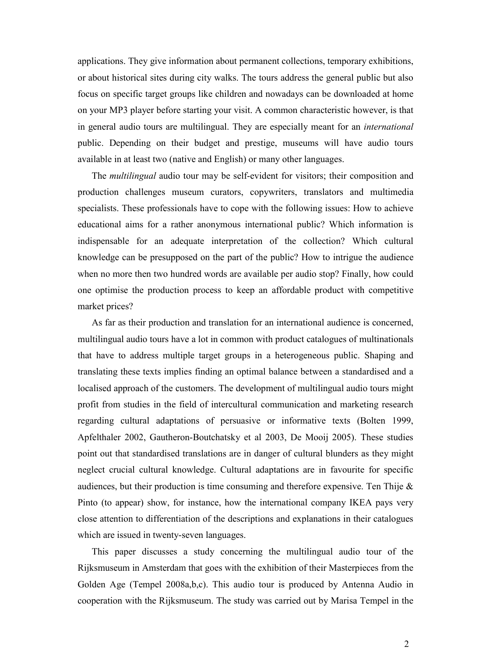applications. They give information about permanent collections, temporary exhibitions, or about historical sites during city walks. The tours address the general public but also focus on specific target groups like children and nowadays can be downloaded at home on your MP3 player before starting your visit. A common characteristic however, is that in general audio tours are multilingual. They are especially meant for an international public. Depending on their budget and prestige, museums will have audio tours available in at least two (native and English) or many other languages.

The multilingual audio tour may be self-evident for visitors; their composition and production challenges museum curators, copywriters, translators and multimedia specialists. These professionals have to cope with the following issues: How to achieve educational aims for a rather anonymous international public? Which information is indispensable for an adequate interpretation of the collection? Which cultural knowledge can be presupposed on the part of the public? How to intrigue the audience when no more then two hundred words are available per audio stop? Finally, how could one optimise the production process to keep an affordable product with competitive market prices?

As far as their production and translation for an international audience is concerned, multilingual audio tours have a lot in common with product catalogues of multinationals that have to address multiple target groups in a heterogeneous public. Shaping and translating these texts implies finding an optimal balance between a standardised and a localised approach of the customers. The development of multilingual audio tours might profit from studies in the field of intercultural communication and marketing research regarding cultural adaptations of persuasive or informative texts (Bolten 1999, Apfelthaler 2002, Gautheron-Boutchatsky et al 2003, De Mooij 2005). These studies point out that standardised translations are in danger of cultural blunders as they might neglect crucial cultural knowledge. Cultural adaptations are in favourite for specific audiences, but their production is time consuming and therefore expensive. Ten Thije  $\&$ Pinto (to appear) show, for instance, how the international company IKEA pays very close attention to differentiation of the descriptions and explanations in their catalogues which are issued in twenty-seven languages.

 This paper discusses a study concerning the multilingual audio tour of the Rijksmuseum in Amsterdam that goes with the exhibition of their Masterpieces from the Golden Age (Tempel 2008a,b,c). This audio tour is produced by Antenna Audio in cooperation with the Rijksmuseum. The study was carried out by Marisa Tempel in the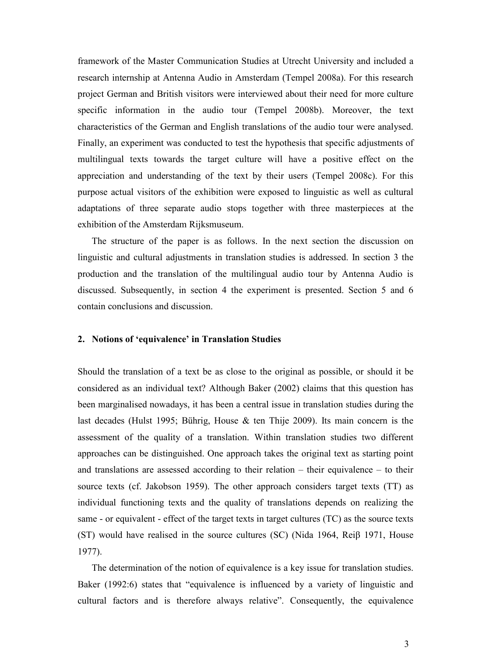framework of the Master Communication Studies at Utrecht University and included a research internship at Antenna Audio in Amsterdam (Tempel 2008a). For this research project German and British visitors were interviewed about their need for more culture specific information in the audio tour (Tempel 2008b). Moreover, the text characteristics of the German and English translations of the audio tour were analysed. Finally, an experiment was conducted to test the hypothesis that specific adjustments of multilingual texts towards the target culture will have a positive effect on the appreciation and understanding of the text by their users (Tempel 2008c). For this purpose actual visitors of the exhibition were exposed to linguistic as well as cultural adaptations of three separate audio stops together with three masterpieces at the exhibition of the Amsterdam Rijksmuseum.

The structure of the paper is as follows. In the next section the discussion on linguistic and cultural adjustments in translation studies is addressed. In section 3 the production and the translation of the multilingual audio tour by Antenna Audio is discussed. Subsequently, in section 4 the experiment is presented. Section 5 and 6 contain conclusions and discussion.

## 2. Notions of 'equivalence' in Translation Studies

Should the translation of a text be as close to the original as possible, or should it be considered as an individual text? Although Baker (2002) claims that this question has been marginalised nowadays, it has been a central issue in translation studies during the last decades (Hulst 1995; Bührig, House & ten Thije 2009). Its main concern is the assessment of the quality of a translation. Within translation studies two different approaches can be distinguished. One approach takes the original text as starting point and translations are assessed according to their relation – their equivalence – to their source texts (cf. Jakobson 1959). The other approach considers target texts (TT) as individual functioning texts and the quality of translations depends on realizing the same - or equivalent - effect of the target texts in target cultures (TC) as the source texts (ST) would have realised in the source cultures (SC) (Nida 1964, Reiβ 1971, House 1977).

 The determination of the notion of equivalence is a key issue for translation studies. Baker (1992:6) states that "equivalence is influenced by a variety of linguistic and cultural factors and is therefore always relative". Consequently, the equivalence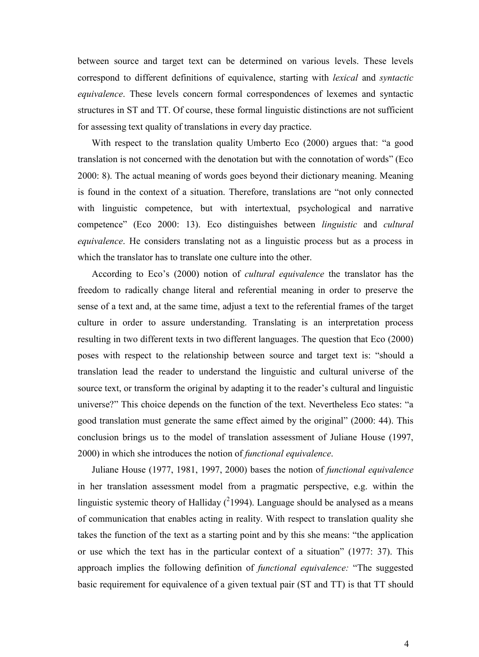between source and target text can be determined on various levels. These levels correspond to different definitions of equivalence, starting with lexical and syntactic equivalence. These levels concern formal correspondences of lexemes and syntactic structures in ST and TT. Of course, these formal linguistic distinctions are not sufficient for assessing text quality of translations in every day practice.

 With respect to the translation quality Umberto Eco (2000) argues that: "a good translation is not concerned with the denotation but with the connotation of words" (Eco 2000: 8). The actual meaning of words goes beyond their dictionary meaning. Meaning is found in the context of a situation. Therefore, translations are "not only connected with linguistic competence, but with intertextual, psychological and narrative competence" (Eco 2000: 13). Eco distinguishes between linguistic and cultural equivalence. He considers translating not as a linguistic process but as a process in which the translator has to translate one culture into the other.

 According to Eco's (2000) notion of cultural equivalence the translator has the freedom to radically change literal and referential meaning in order to preserve the sense of a text and, at the same time, adjust a text to the referential frames of the target culture in order to assure understanding. Translating is an interpretation process resulting in two different texts in two different languages. The question that Eco (2000) poses with respect to the relationship between source and target text is: "should a translation lead the reader to understand the linguistic and cultural universe of the source text, or transform the original by adapting it to the reader's cultural and linguistic universe?" This choice depends on the function of the text. Nevertheless Eco states: "a good translation must generate the same effect aimed by the original" (2000: 44). This conclusion brings us to the model of translation assessment of Juliane House (1997, 2000) in which she introduces the notion of functional equivalence.

 Juliane House (1977, 1981, 1997, 2000) bases the notion of functional equivalence in her translation assessment model from a pragmatic perspective, e.g. within the linguistic systemic theory of Halliday  $(^{2}1994)$ . Language should be analysed as a means of communication that enables acting in reality. With respect to translation quality she takes the function of the text as a starting point and by this she means: "the application or use which the text has in the particular context of a situation" (1977: 37). This approach implies the following definition of functional equivalence: "The suggested basic requirement for equivalence of a given textual pair (ST and TT) is that TT should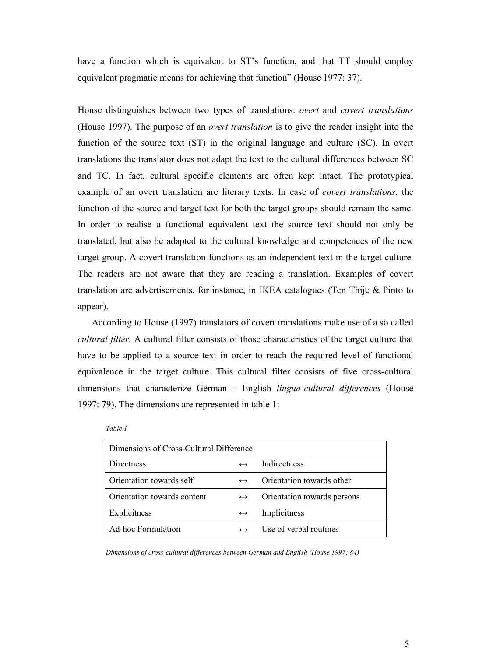have a function which is equivalent to ST's function, and that TT should employ equivalent pragmatic means for achieving that function" (House 1977: 37).

House distinguishes between two types of translations: overt and covert translations (House 1997). The purpose of an overt translation is to give the reader insight into the function of the source text (ST) in the original language and culture (SC). In overt translations the translator does not adapt the text to the cultural differences between SC and TC. In fact, cultural specific elements are often kept intact. The prototypical example of an overt translation are literary texts. In case of covert translations, the function of the source and target text for both the target groups should remain the same. In order to realise a functional equivalent text the source text should not only be translated, but also be adapted to the cultural knowledge and competences of the new target group. A covert translation functions as an independent text in the target culture. The readers are not aware that they are reading a translation. Examples of covert translation are advertisements, for instance, in IKEA catalogues (Ten Thije & Pinto to appear).

 According to House (1997) translators of covert translations make use of a so called cultural filter. A cultural filter consists of those characteristics of the target culture that have to be applied to a source text in order to reach the required level of functional equivalence in the target culture. This cultural filter consists of five cross-cultural dimensions that characterize German – English *lingua-cultural differences* (House 1997: 79). The dimensions are represented in table 1:

| Dimensions of Cross-Cultural Difference |                   |                             |  |  |
|-----------------------------------------|-------------------|-----------------------------|--|--|
| Directness                              | $\leftrightarrow$ | <b>Indirectness</b>         |  |  |
| Orientation towards self                | $\leftrightarrow$ | Orientation towards other   |  |  |
| Orientation towards content             | $\leftrightarrow$ | Orientation towards persons |  |  |
| Explicitness                            | $\leftrightarrow$ | Implicitness                |  |  |
| <b>Ad-hoc Formulation</b>               |                   | Use of verbal routines      |  |  |
|                                         |                   |                             |  |  |

Table 1

Dimensions of cross-cultural differences between German and English (House 1997: 84)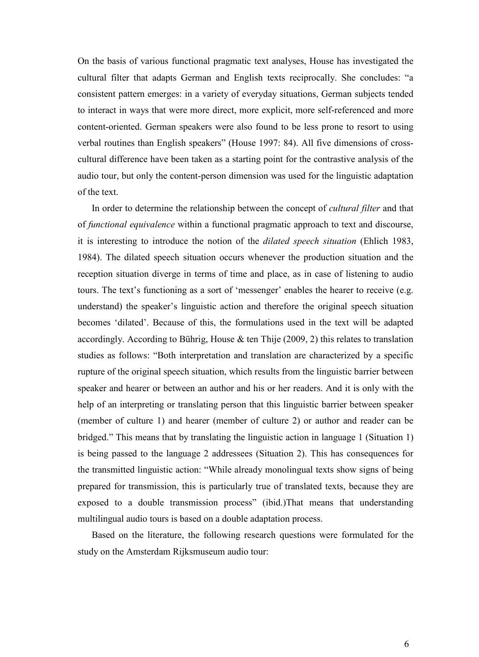On the basis of various functional pragmatic text analyses, House has investigated the cultural filter that adapts German and English texts reciprocally. She concludes: "a consistent pattern emerges: in a variety of everyday situations, German subjects tended to interact in ways that were more direct, more explicit, more self-referenced and more content-oriented. German speakers were also found to be less prone to resort to using verbal routines than English speakers" (House 1997: 84). All five dimensions of crosscultural difference have been taken as a starting point for the contrastive analysis of the audio tour, but only the content-person dimension was used for the linguistic adaptation of the text.

In order to determine the relationship between the concept of *cultural filter* and that of functional equivalence within a functional pragmatic approach to text and discourse, it is interesting to introduce the notion of the dilated speech situation (Ehlich 1983, 1984). The dilated speech situation occurs whenever the production situation and the reception situation diverge in terms of time and place, as in case of listening to audio tours. The text's functioning as a sort of 'messenger' enables the hearer to receive (e.g. understand) the speaker's linguistic action and therefore the original speech situation becomes 'dilated'. Because of this, the formulations used in the text will be adapted accordingly. According to Bührig, House  $\&$  ten Thije (2009, 2) this relates to translation studies as follows: "Both interpretation and translation are characterized by a specific rupture of the original speech situation, which results from the linguistic barrier between speaker and hearer or between an author and his or her readers. And it is only with the help of an interpreting or translating person that this linguistic barrier between speaker (member of culture 1) and hearer (member of culture 2) or author and reader can be bridged." This means that by translating the linguistic action in language 1 (Situation 1) is being passed to the language 2 addressees (Situation 2). This has consequences for the transmitted linguistic action: "While already monolingual texts show signs of being prepared for transmission, this is particularly true of translated texts, because they are exposed to a double transmission process" (ibid.)That means that understanding multilingual audio tours is based on a double adaptation process.

Based on the literature, the following research questions were formulated for the study on the Amsterdam Rijksmuseum audio tour: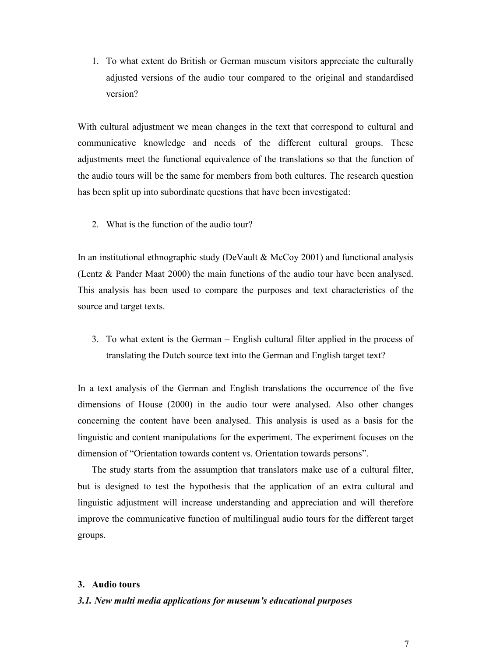1. To what extent do British or German museum visitors appreciate the culturally adjusted versions of the audio tour compared to the original and standardised version?

With cultural adjustment we mean changes in the text that correspond to cultural and communicative knowledge and needs of the different cultural groups. These adjustments meet the functional equivalence of the translations so that the function of the audio tours will be the same for members from both cultures. The research question has been split up into subordinate questions that have been investigated:

2. What is the function of the audio tour?

In an institutional ethnographic study (DeVault & McCoy 2001) and functional analysis (Lentz & Pander Maat 2000) the main functions of the audio tour have been analysed. This analysis has been used to compare the purposes and text characteristics of the source and target texts.

3. To what extent is the German – English cultural filter applied in the process of translating the Dutch source text into the German and English target text?

In a text analysis of the German and English translations the occurrence of the five dimensions of House (2000) in the audio tour were analysed. Also other changes concerning the content have been analysed. This analysis is used as a basis for the linguistic and content manipulations for the experiment. The experiment focuses on the dimension of "Orientation towards content vs. Orientation towards persons".

 The study starts from the assumption that translators make use of a cultural filter, but is designed to test the hypothesis that the application of an extra cultural and linguistic adjustment will increase understanding and appreciation and will therefore improve the communicative function of multilingual audio tours for the different target groups.

## 3. Audio tours

## 3.1. New multi media applications for museum's educational purposes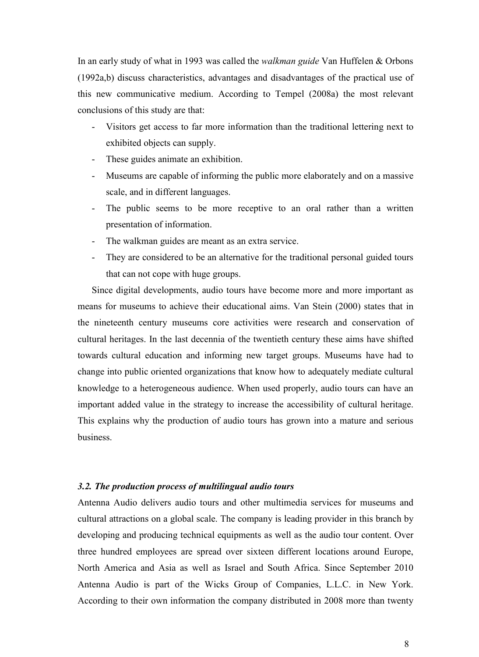In an early study of what in 1993 was called the *walkman guide* Van Huffelen & Orbons (1992a,b) discuss characteristics, advantages and disadvantages of the practical use of this new communicative medium. According to Tempel (2008a) the most relevant conclusions of this study are that:

- Visitors get access to far more information than the traditional lettering next to exhibited objects can supply.
- These guides animate an exhibition.
- Museums are capable of informing the public more elaborately and on a massive scale, and in different languages.
- The public seems to be more receptive to an oral rather than a written presentation of information.
- The walkman guides are meant as an extra service.
- They are considered to be an alternative for the traditional personal guided tours that can not cope with huge groups.

 Since digital developments, audio tours have become more and more important as means for museums to achieve their educational aims. Van Stein (2000) states that in the nineteenth century museums core activities were research and conservation of cultural heritages. In the last decennia of the twentieth century these aims have shifted towards cultural education and informing new target groups. Museums have had to change into public oriented organizations that know how to adequately mediate cultural knowledge to a heterogeneous audience. When used properly, audio tours can have an important added value in the strategy to increase the accessibility of cultural heritage. This explains why the production of audio tours has grown into a mature and serious business.

# 3.2. The production process of multilingual audio tours

Antenna Audio delivers audio tours and other multimedia services for museums and cultural attractions on a global scale. The company is leading provider in this branch by developing and producing technical equipments as well as the audio tour content. Over three hundred employees are spread over sixteen different locations around Europe, North America and Asia as well as Israel and South Africa. Since September 2010 Antenna Audio is part of the Wicks Group of Companies, L.L.C. in New York. According to their own information the company distributed in 2008 more than twenty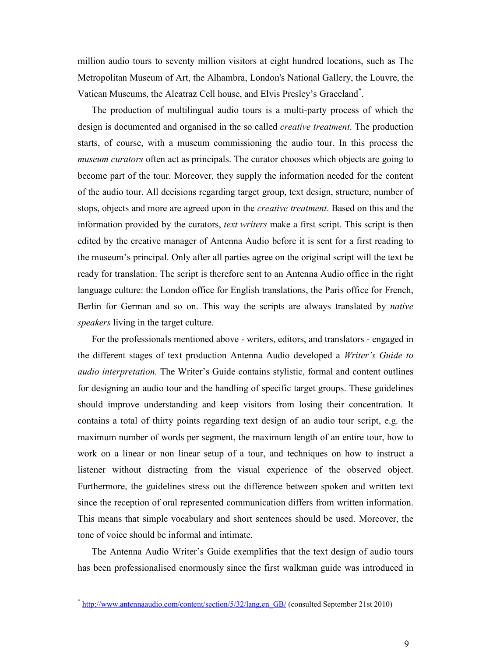million audio tours to seventy million visitors at eight hundred locations, such as The Metropolitan Museum of Art, the Alhambra, London's National Gallery, the Louvre, the Vatican Museums, the Alcatraz Cell house, and Elvis Presley's Graceland\* .

 The production of multilingual audio tours is a multi-party process of which the design is documented and organised in the so called *creative treatment*. The production starts, of course, with a museum commissioning the audio tour. In this process the museum curators often act as principals. The curator chooses which objects are going to become part of the tour. Moreover, they supply the information needed for the content of the audio tour. All decisions regarding target group, text design, structure, number of stops, objects and more are agreed upon in the *creative treatment*. Based on this and the information provided by the curators, text writers make a first script. This script is then edited by the creative manager of Antenna Audio before it is sent for a first reading to the museum's principal. Only after all parties agree on the original script will the text be ready for translation. The script is therefore sent to an Antenna Audio office in the right language culture: the London office for English translations, the Paris office for French, Berlin for German and so on. This way the scripts are always translated by *native* speakers living in the target culture.

 For the professionals mentioned above - writers, editors, and translators - engaged in the different stages of text production Antenna Audio developed a Writer's Guide to audio interpretation. The Writer's Guide contains stylistic, formal and content outlines for designing an audio tour and the handling of specific target groups. These guidelines should improve understanding and keep visitors from losing their concentration. It contains a total of thirty points regarding text design of an audio tour script, e.g. the maximum number of words per segment, the maximum length of an entire tour, how to work on a linear or non linear setup of a tour, and techniques on how to instruct a listener without distracting from the visual experience of the observed object. Furthermore, the guidelines stress out the difference between spoken and written text since the reception of oral represented communication differs from written information. This means that simple vocabulary and short sentences should be used. Moreover, the tone of voice should be informal and intimate.

 The Antenna Audio Writer's Guide exemplifies that the text design of audio tours has been professionalised enormously since the first walkman guide was introduced in

-

<sup>\*</sup> http://www.antennaaudio.com/content/section/5/32/lang,en\_GB/ (consulted September 21st 2010)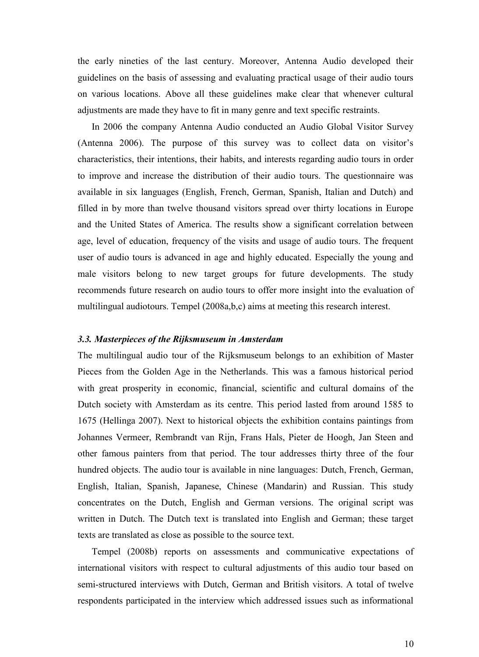the early nineties of the last century. Moreover, Antenna Audio developed their guidelines on the basis of assessing and evaluating practical usage of their audio tours on various locations. Above all these guidelines make clear that whenever cultural adjustments are made they have to fit in many genre and text specific restraints.

 In 2006 the company Antenna Audio conducted an Audio Global Visitor Survey (Antenna 2006). The purpose of this survey was to collect data on visitor's characteristics, their intentions, their habits, and interests regarding audio tours in order to improve and increase the distribution of their audio tours. The questionnaire was available in six languages (English, French, German, Spanish, Italian and Dutch) and filled in by more than twelve thousand visitors spread over thirty locations in Europe and the United States of America. The results show a significant correlation between age, level of education, frequency of the visits and usage of audio tours. The frequent user of audio tours is advanced in age and highly educated. Especially the young and male visitors belong to new target groups for future developments. The study recommends future research on audio tours to offer more insight into the evaluation of multilingual audiotours. Tempel (2008a,b,c) aims at meeting this research interest.

# 3.3. Masterpieces of the Rijksmuseum in Amsterdam

The multilingual audio tour of the Rijksmuseum belongs to an exhibition of Master Pieces from the Golden Age in the Netherlands. This was a famous historical period with great prosperity in economic, financial, scientific and cultural domains of the Dutch society with Amsterdam as its centre. This period lasted from around 1585 to 1675 (Hellinga 2007). Next to historical objects the exhibition contains paintings from Johannes Vermeer, Rembrandt van Rijn, Frans Hals, Pieter de Hoogh, Jan Steen and other famous painters from that period. The tour addresses thirty three of the four hundred objects. The audio tour is available in nine languages: Dutch, French, German, English, Italian, Spanish, Japanese, Chinese (Mandarin) and Russian. This study concentrates on the Dutch, English and German versions. The original script was written in Dutch. The Dutch text is translated into English and German; these target texts are translated as close as possible to the source text.

 Tempel (2008b) reports on assessments and communicative expectations of international visitors with respect to cultural adjustments of this audio tour based on semi-structured interviews with Dutch, German and British visitors. A total of twelve respondents participated in the interview which addressed issues such as informational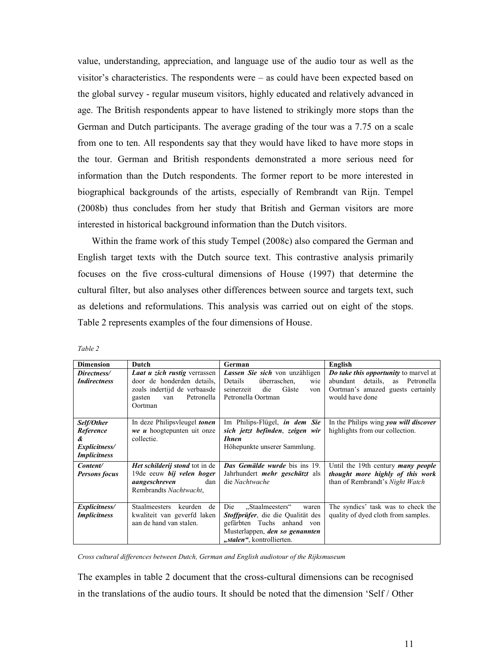value, understanding, appreciation, and language use of the audio tour as well as the visitor's characteristics. The respondents were – as could have been expected based on the global survey - regular museum visitors, highly educated and relatively advanced in age. The British respondents appear to have listened to strikingly more stops than the German and Dutch participants. The average grading of the tour was a 7.75 on a scale from one to ten. All respondents say that they would have liked to have more stops in the tour. German and British respondents demonstrated a more serious need for information than the Dutch respondents. The former report to be more interested in biographical backgrounds of the artists, especially of Rembrandt van Rijn. Tempel (2008b) thus concludes from her study that British and German visitors are more interested in historical background information than the Dutch visitors.

 Within the frame work of this study Tempel (2008c) also compared the German and English target texts with the Dutch source text. This contrastive analysis primarily focuses on the five cross-cultural dimensions of House (1997) that determine the cultural filter, but also analyses other differences between source and targets text, such as deletions and reformulations. This analysis was carried out on eight of the stops. Table 2 represents examples of the four dimensions of House.

| <b>Dimension</b>     | Dutch                                 | German                                | English                                      |
|----------------------|---------------------------------------|---------------------------------------|----------------------------------------------|
| Directness/          | Laat u zich rustig verrassen          | Lassen Sie sich von unzähligen        | <b>Do take this opportunity to marvel at</b> |
| <i>Indirectness</i>  | door de honderden details.            | Details<br>überraschen,<br>wie        | abundant<br>details, as Petronella           |
|                      | zoals indertijd de verbaasde          | seinerzeit<br>die<br>Gäste<br>von     | Oortman's amazed guests certainly            |
|                      | Petronella<br>gasten<br>van           | Petronella Oortman                    | would have done                              |
|                      | Oortman                               |                                       |                                              |
|                      |                                       |                                       |                                              |
| Self/Other           | In deze Philipsyleugel tonen          | Im Philips-Flügel, <i>in dem Sie</i>  | In the Philips wing you will discover        |
| Reference            | <i>we u</i> hoogtepunten uit onze     | sich jetzt befinden, zeigen wir       | highlights from our collection.              |
| &                    | collectie.                            | <b>Ihnen</b>                          |                                              |
| Explicitness/        |                                       | Höhepunkte unserer Sammlung.          |                                              |
| <i>Implicitness</i>  |                                       |                                       |                                              |
|                      |                                       |                                       |                                              |
| Content/             | Het schilderij stond tot in de        | <b>Das Gemälde wurde</b> bis ins 19.  | Until the 19th century <i>many people</i>    |
| <b>Persons focus</b> | 19de eeuw bij velen hoger             | Jahrhundert <i>mehr geschätzt</i> als | thought more highly of this work             |
|                      | aangeschreven<br>dan                  | die Nachtwache                        | than of Rembrandt's Night Watch              |
|                      | Rembrandts Nachtwacht,                |                                       |                                              |
|                      |                                       |                                       |                                              |
| Explicitness/        | <b>Staalmeesters</b><br>keurden<br>de | "Staalmeesters"<br>Die<br>waren       | The syndics' task was to check the           |
| <i>Implicitness</i>  | kwaliteit van geverfd laken           | Stoffprüfer, die die Qualität des     | quality of dyed cloth from samples.          |
|                      | aan de hand van stalen.               | gefärbten Tuchs anhand<br>von         |                                              |
|                      |                                       | Musterlappen, den so genannten        |                                              |
|                      |                                       | "stalen", kontrollierten.             |                                              |
|                      |                                       |                                       |                                              |

Table 2

Cross cultural differences between Dutch, German and English audiotour of the Rijksmuseum

The examples in table 2 document that the cross-cultural dimensions can be recognised in the translations of the audio tours. It should be noted that the dimension 'Self / Other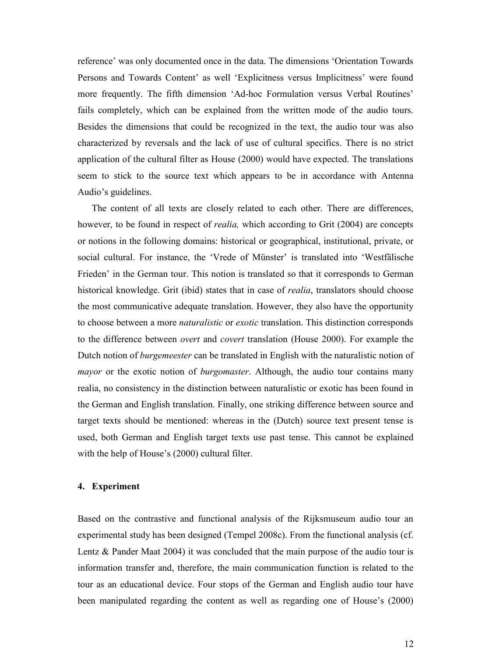reference' was only documented once in the data. The dimensions 'Orientation Towards Persons and Towards Content' as well 'Explicitness versus Implicitness' were found more frequently. The fifth dimension 'Ad-hoc Formulation versus Verbal Routines' fails completely, which can be explained from the written mode of the audio tours. Besides the dimensions that could be recognized in the text, the audio tour was also characterized by reversals and the lack of use of cultural specifics. There is no strict application of the cultural filter as House (2000) would have expected. The translations seem to stick to the source text which appears to be in accordance with Antenna Audio's guidelines.

 The content of all texts are closely related to each other. There are differences, however, to be found in respect of *realia*, which according to Grit (2004) are concepts or notions in the following domains: historical or geographical, institutional, private, or social cultural. For instance, the 'Vrede of Münster' is translated into 'Westfälische Frieden' in the German tour. This notion is translated so that it corresponds to German historical knowledge. Grit (ibid) states that in case of realia, translators should choose the most communicative adequate translation. However, they also have the opportunity to choose between a more naturalistic or exotic translation. This distinction corresponds to the difference between overt and covert translation (House 2000). For example the Dutch notion of burgemeester can be translated in English with the naturalistic notion of mayor or the exotic notion of *burgomaster*. Although, the audio tour contains many realia, no consistency in the distinction between naturalistic or exotic has been found in the German and English translation. Finally, one striking difference between source and target texts should be mentioned: whereas in the (Dutch) source text present tense is used, both German and English target texts use past tense. This cannot be explained with the help of House's (2000) cultural filter.

## 4. Experiment

Based on the contrastive and functional analysis of the Rijksmuseum audio tour an experimental study has been designed (Tempel 2008c). From the functional analysis (cf. Lentz & Pander Maat 2004) it was concluded that the main purpose of the audio tour is information transfer and, therefore, the main communication function is related to the tour as an educational device. Four stops of the German and English audio tour have been manipulated regarding the content as well as regarding one of House's (2000)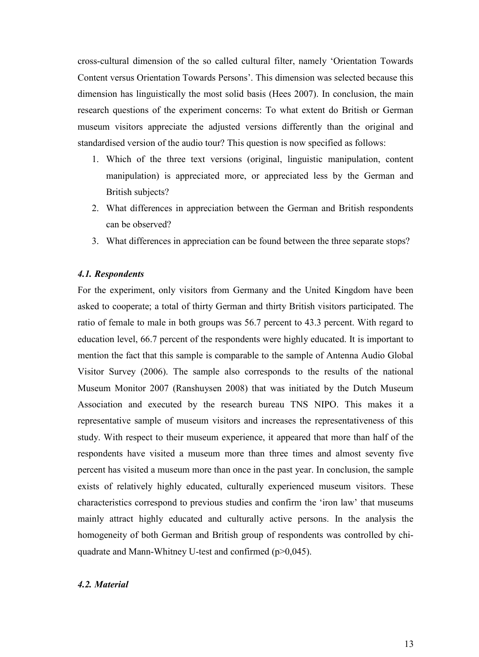cross-cultural dimension of the so called cultural filter, namely 'Orientation Towards Content versus Orientation Towards Persons'. This dimension was selected because this dimension has linguistically the most solid basis (Hees 2007). In conclusion, the main research questions of the experiment concerns: To what extent do British or German museum visitors appreciate the adjusted versions differently than the original and standardised version of the audio tour? This question is now specified as follows:

- 1. Which of the three text versions (original, linguistic manipulation, content manipulation) is appreciated more, or appreciated less by the German and British subjects?
- 2. What differences in appreciation between the German and British respondents can be observed?
- 3. What differences in appreciation can be found between the three separate stops?

# 4.1. Respondents

For the experiment, only visitors from Germany and the United Kingdom have been asked to cooperate; a total of thirty German and thirty British visitors participated. The ratio of female to male in both groups was 56.7 percent to 43.3 percent. With regard to education level, 66.7 percent of the respondents were highly educated. It is important to mention the fact that this sample is comparable to the sample of Antenna Audio Global Visitor Survey (2006). The sample also corresponds to the results of the national Museum Monitor 2007 (Ranshuysen 2008) that was initiated by the Dutch Museum Association and executed by the research bureau TNS NIPO. This makes it a representative sample of museum visitors and increases the representativeness of this study. With respect to their museum experience, it appeared that more than half of the respondents have visited a museum more than three times and almost seventy five percent has visited a museum more than once in the past year. In conclusion, the sample exists of relatively highly educated, culturally experienced museum visitors. These characteristics correspond to previous studies and confirm the 'iron law' that museums mainly attract highly educated and culturally active persons. In the analysis the homogeneity of both German and British group of respondents was controlled by chiquadrate and Mann-Whitney U-test and confirmed (p>0,045).

## 4.2. Material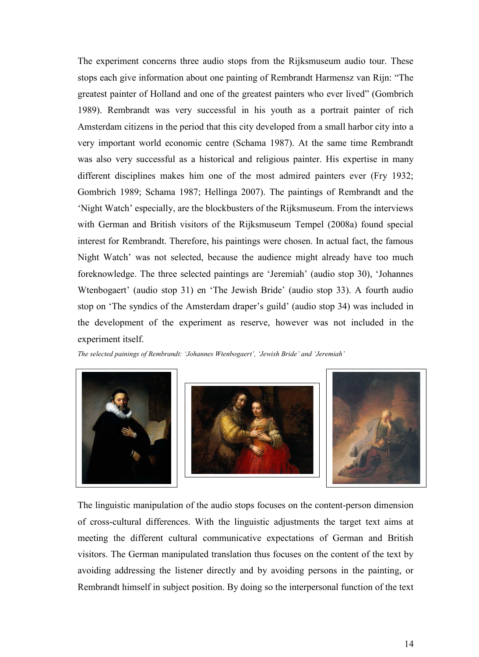The experiment concerns three audio stops from the Rijksmuseum audio tour. These stops each give information about one painting of Rembrandt Harmensz van Rijn: "The greatest painter of Holland and one of the greatest painters who ever lived" (Gombrich 1989). Rembrandt was very successful in his youth as a portrait painter of rich Amsterdam citizens in the period that this city developed from a small harbor city into a very important world economic centre (Schama 1987). At the same time Rembrandt was also very successful as a historical and religious painter. His expertise in many different disciplines makes him one of the most admired painters ever (Fry 1932; Gombrich 1989; Schama 1987; Hellinga 2007). The paintings of Rembrandt and the 'Night Watch' especially, are the blockbusters of the Rijksmuseum. From the interviews with German and British visitors of the Rijksmuseum Tempel (2008a) found special interest for Rembrandt. Therefore, his paintings were chosen. In actual fact, the famous Night Watch' was not selected, because the audience might already have too much foreknowledge. The three selected paintings are 'Jeremiah' (audio stop 30), 'Johannes Wtenbogaert' (audio stop 31) en 'The Jewish Bride' (audio stop 33). A fourth audio stop on 'The syndics of the Amsterdam draper's guild' (audio stop 34) was included in the development of the experiment as reserve, however was not included in the experiment itself.

The selected painings of Rembrandt: 'Johannes Wtenbogaert', 'Jewish Bride' and 'Jeremiah'



The linguistic manipulation of the audio stops focuses on the content-person dimension of cross-cultural differences. With the linguistic adjustments the target text aims at meeting the different cultural communicative expectations of German and British visitors. The German manipulated translation thus focuses on the content of the text by avoiding addressing the listener directly and by avoiding persons in the painting, or Rembrandt himself in subject position. By doing so the interpersonal function of the text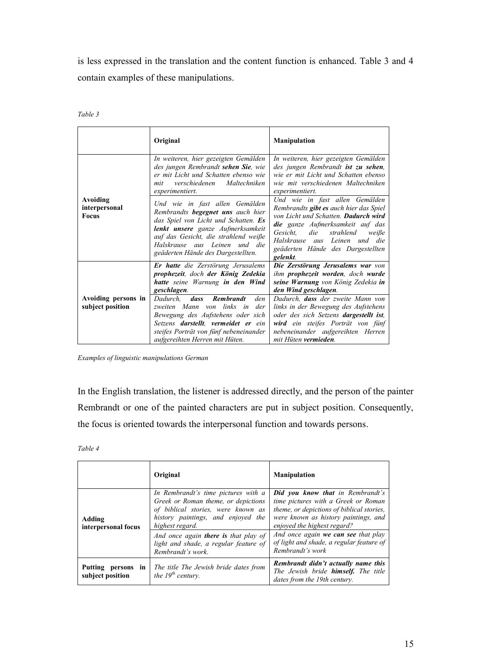is less expressed in the translation and the content function is enhanced. Table 3 and 4 contain examples of these manipulations.

| r<br>., |  |
|---------|--|
|---------|--|

|                                           | Original                                                                                                                                                                                                                                                                     | <b>Manipulation</b>                                                                                                                                                                                                                                                                                            |
|-------------------------------------------|------------------------------------------------------------------------------------------------------------------------------------------------------------------------------------------------------------------------------------------------------------------------------|----------------------------------------------------------------------------------------------------------------------------------------------------------------------------------------------------------------------------------------------------------------------------------------------------------------|
|                                           | In weiteren, hier gezeigten Gemälden<br>des jungen Rembrandt sehen Sie, wie<br>er mit Licht und Schatten ebenso wie<br>Maltechniken<br>verschiedenen<br>mit<br>experimentiert.                                                                                               | In weiteren, hier gezeigten Gemälden<br>des jungen Rembrandt ist zu sehen,<br>wie er mit Licht und Schatten ebenso<br>wie mit verschiedenen Maltechniken<br>experimentiert.                                                                                                                                    |
| Avoiding<br>interpersonal<br><b>Focus</b> | Und wie in fast allen Gemälden<br>Rembrandts begegnet uns auch hier<br>das Spiel von Licht und Schatten. Es<br>lenkt unsere ganze Aufmerksamkeit<br>auf das Gesicht, die strahlend weiße<br>Halskrause aus Leinen und die<br>geäderten Hände des Dargestellten.              | Und wie in fast allen Gemälden<br>Rembrandts gibt es auch hier das Spiel<br>von Licht und Schatten. Dadurch wird<br><b>die</b> ganze Aufmerksamkeit auf das<br>Gesicht.<br>die<br>strahlend<br>weiße<br>Halskrause aus Leinen und die<br>geäderten Hände des Dargestellten<br>gelenkt.                         |
| Avoiding persons in<br>subject position   | Er hatte die Zerstörung Jerusalems<br>prophezeit, doch der König Zedekia<br>hatte seine Warnung in den Wind<br>geschlagen.<br>Dadurch, dass Rembrandt<br>den<br>zweiten Mann von links in<br>der<br>Bewegung des Aufstehens oder sich<br>Setzens darstellt, vermeidet er ein | Die Zerstörung Jerusalems war von<br>ihm <b>prophezeit</b> worden, doch wurde<br>seine Warnung von König Zedekia in<br>den Wind geschlagen.<br>Dadurch, <b>dass</b> der zweite Mann von<br>links in der Bewegung des Aufstehens<br>oder des sich Setzens dargestellt ist,<br>wird ein steifes Porträt von fünf |
|                                           | steifes Porträt von fünf nebeneinander<br>aufgereihten Herren mit Hüten.                                                                                                                                                                                                     | nebeneinander aufgereihten Herren<br>mit Hüten vermieden.                                                                                                                                                                                                                                                      |

Examples of linguistic manipulations German

In the English translation, the listener is addressed directly, and the person of the painter Rembrandt or one of the painted characters are put in subject position. Consequently, the focus is oriented towards the interpersonal function and towards persons.

Table 4

|                                        | Original                                                                                                                                                                  | <b>Manipulation</b>                                                                                                                                                                                |
|----------------------------------------|---------------------------------------------------------------------------------------------------------------------------------------------------------------------------|----------------------------------------------------------------------------------------------------------------------------------------------------------------------------------------------------|
| Adding<br>interpersonal focus          | In Rembrandt's time pictures with a<br>Greek or Roman theme, or depictions<br>of biblical stories, were known as<br>history paintings, and enjoyed the<br>highest regard. | <b>Did you know that in Rembrandt's</b><br>time pictures with a Greek or Roman<br>theme, or depictions of biblical stories,<br>were known as history paintings, and<br>enjoved the highest regard? |
|                                        | And once again <b>there is</b> that play of<br>light and shade, a regular feature of<br>Rembrandt's work.                                                                 | And once again we can see that play<br>of light and shade, a regular feature of<br>Rembrandt's work                                                                                                |
| Putting persons in<br>subject position | The title The Jewish bride dates from<br>the $19th$ century.                                                                                                              | Rembrandt didn't actually name this<br>The Jewish bride <b>himself.</b> The title<br>dates from the 19th century.                                                                                  |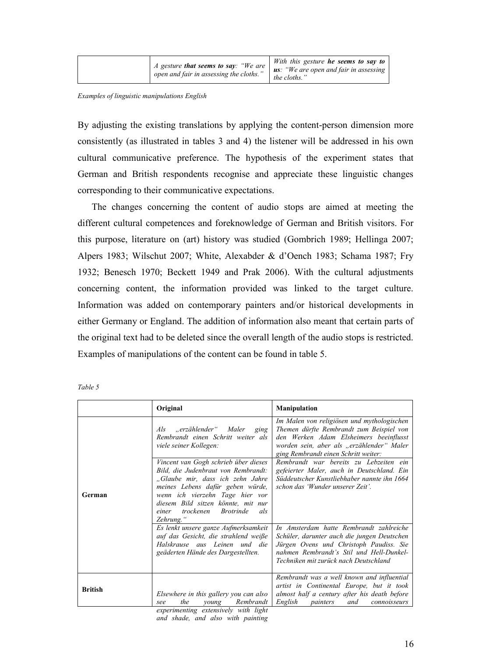| $A$ gesture that seems to say: "We are<br>open and fair in assessing the cloths." | With this gesture he seems to say to<br><b>us</b> : "We are open and fair in assessing<br>the cloths." |
|-----------------------------------------------------------------------------------|--------------------------------------------------------------------------------------------------------|
|-----------------------------------------------------------------------------------|--------------------------------------------------------------------------------------------------------|

#### Examples of linguistic manipulations English

By adjusting the existing translations by applying the content-person dimension more consistently (as illustrated in tables 3 and 4) the listener will be addressed in his own cultural communicative preference. The hypothesis of the experiment states that German and British respondents recognise and appreciate these linguistic changes corresponding to their communicative expectations.

 The changes concerning the content of audio stops are aimed at meeting the different cultural competences and foreknowledge of German and British visitors. For this purpose, literature on (art) history was studied (Gombrich 1989; Hellinga 2007; Alpers 1983; Wilschut 2007; White, Alexabder & d'Oench 1983; Schama 1987; Fry 1932; Benesch 1970; Beckett 1949 and Prak 2006). With the cultural adjustments concerning content, the information provided was linked to the target culture. Information was added on contemporary painters and/or historical developments in either Germany or England. The addition of information also meant that certain parts of the original text had to be deleted since the overall length of the audio stops is restricted. Examples of manipulations of the content can be found in table 5.

| ۰.<br>× |  |
|---------|--|

|                | Original                                                                                                                                                                                                                                                                                   | <b>Manipulation</b>                                                                                                                                                                                                    |
|----------------|--------------------------------------------------------------------------------------------------------------------------------------------------------------------------------------------------------------------------------------------------------------------------------------------|------------------------------------------------------------------------------------------------------------------------------------------------------------------------------------------------------------------------|
|                | "erzählender" Maler<br>$\overline{A}$ ls<br>ging<br>Rembrandt einen Schritt weiter als<br>viele seiner Kollegen:                                                                                                                                                                           | Im Malen von religiösen und mythologischen<br>Themen dürfte Rembrandt zum Beispiel von<br>den Werken Adam Elsheimers beeinflusst<br>worden sein, aber als "erzählender" Maler<br>ging Rembrandt einen Schritt weiter:  |
| German         | Vincent van Gogh schrieb über dieses<br>Bild, die Judenbraut von Rembrandt:<br>"Glaube mir, dass ich zehn Jahre<br>meines Lebens dafür geben würde,<br>wenn ich vierzehn Tage hier vor<br>diesem Bild sitzen könnte, mit nur<br>trockenen<br><i>Brotrinde</i><br>als<br>einer<br>Zehrung." | Rembrandt war bereits zu Lebzeiten ein<br>gefeierter Maler, auch in Deutschland. Ein<br>Süddeutscher Kunstliebhaber nannte ihn 1664<br>schon das 'Wunder unserer Zeit'.                                                |
|                | Es lenkt unsere ganze Aufmerksamkeit<br>auf das Gesicht, die strahlend weiße<br>Halskrause aus Leinen und die<br>geäderten Hände des Dargestellten.                                                                                                                                        | In Amsterdam hatte Rembrandt zahlreiche<br>Schüler, darunter auch die jungen Deutschen<br>Jürgen Ovens und Christoph Paudiss. Sie<br>nahmen Rembrandt's Stil und Hell-Dunkel-<br>Techniken mit zurück nach Deutschland |
| <b>British</b> | Elsewhere in this gallery you can also<br>the<br>Rembrandt<br>young<br>see<br>experimenting extensively with light                                                                                                                                                                         | Rembrandt was a well known and influential<br>artist in Continental Europe, but it took<br>almost half a century after his death before<br>English<br>connoisseurs<br>painters<br>and                                  |

and shade, and also with painting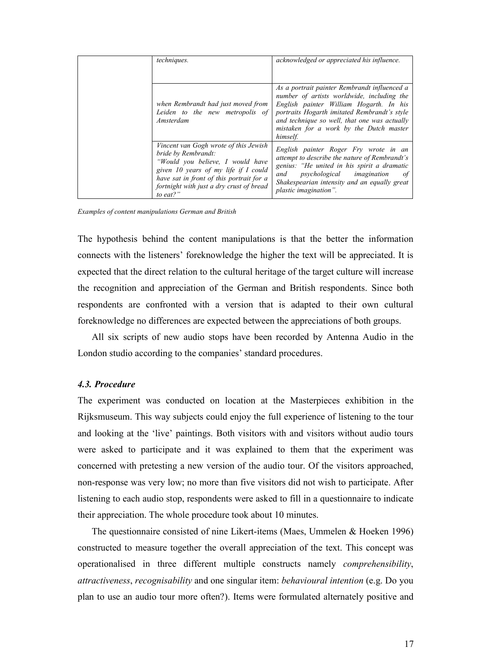| techniques.                                                                                                                                                                                                                                  | acknowledged or appreciated his influence.                                                                                                                                                                                                                                                   |
|----------------------------------------------------------------------------------------------------------------------------------------------------------------------------------------------------------------------------------------------|----------------------------------------------------------------------------------------------------------------------------------------------------------------------------------------------------------------------------------------------------------------------------------------------|
| when Rembrandt had just moved from<br>Leiden to the new metropolis of<br>Amsterdam                                                                                                                                                           | As a portrait painter Rembrandt influenced a<br>number of artists worldwide, including the<br>English painter William Hogarth. In his<br>portraits Hogarth imitated Rembrandt's style<br>and technique so well, that one was actually<br>mistaken for a work by the Dutch master<br>himself. |
| Vincent van Gogh wrote of this Jewish<br>bride by Rembrandt:<br>"Would you believe, I would have<br>given 10 years of my life if I could<br>have sat in front of this portrait for a<br>fortnight with just a dry crust of bread<br>to eat?" | English painter Roger Fry wrote in an<br>attempt to describe the nature of Rembrandt's<br>genius: "He united in his spirit a dramatic<br><i>psychological imagination</i><br>and<br>οf<br>Shakespearian intensity and an equally great<br>plastic imagination".                              |

Examples of content manipulations German and British

The hypothesis behind the content manipulations is that the better the information connects with the listeners' foreknowledge the higher the text will be appreciated. It is expected that the direct relation to the cultural heritage of the target culture will increase the recognition and appreciation of the German and British respondents. Since both respondents are confronted with a version that is adapted to their own cultural foreknowledge no differences are expected between the appreciations of both groups.

 All six scripts of new audio stops have been recorded by Antenna Audio in the London studio according to the companies' standard procedures.

# 4.3. Procedure

The experiment was conducted on location at the Masterpieces exhibition in the Rijksmuseum. This way subjects could enjoy the full experience of listening to the tour and looking at the 'live' paintings. Both visitors with and visitors without audio tours were asked to participate and it was explained to them that the experiment was concerned with pretesting a new version of the audio tour. Of the visitors approached, non-response was very low; no more than five visitors did not wish to participate. After listening to each audio stop, respondents were asked to fill in a questionnaire to indicate their appreciation. The whole procedure took about 10 minutes.

The questionnaire consisted of nine Likert-items (Maes, Ummelen & Hoeken 1996) constructed to measure together the overall appreciation of the text. This concept was operationalised in three different multiple constructs namely comprehensibility, attractiveness, recognisability and one singular item: behavioural intention (e.g. Do you plan to use an audio tour more often?). Items were formulated alternately positive and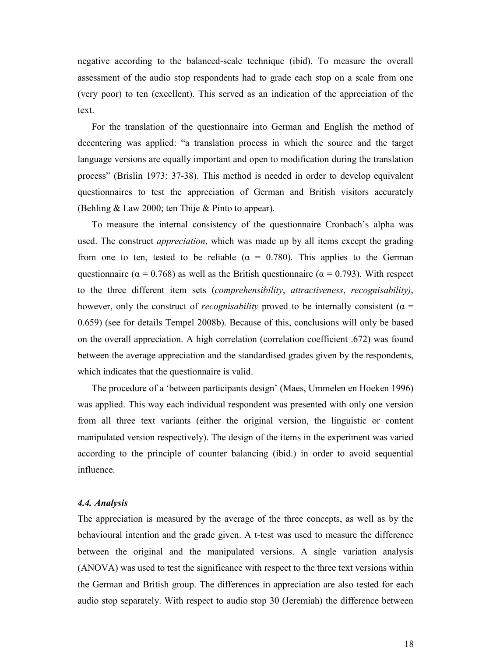negative according to the balanced-scale technique (ibid). To measure the overall assessment of the audio stop respondents had to grade each stop on a scale from one (very poor) to ten (excellent). This served as an indication of the appreciation of the text.

 For the translation of the questionnaire into German and English the method of decentering was applied: "a translation process in which the source and the target language versions are equally important and open to modification during the translation process" (Brislin 1973: 37-38). This method is needed in order to develop equivalent questionnaires to test the appreciation of German and British visitors accurately (Behling & Law 2000; ten Thije & Pinto to appear).

 To measure the internal consistency of the questionnaire Cronbach's alpha was used. The construct *appreciation*, which was made up by all items except the grading from one to ten, tested to be reliable ( $\alpha = 0.780$ ). This applies to the German questionnaire ( $\alpha = 0.768$ ) as well as the British questionnaire ( $\alpha = 0.793$ ). With respect to the three different item sets (*comprehensibility*, *attractiveness*, *recognisability*), however, only the construct of *recognisability* proved to be internally consistent ( $\alpha$  = 0.659) (see for details Tempel 2008b). Because of this, conclusions will only be based on the overall appreciation. A high correlation (correlation coefficient .672) was found between the average appreciation and the standardised grades given by the respondents, which indicates that the questionnaire is valid.

 The procedure of a 'between participants design' (Maes, Ummelen en Hoeken 1996) was applied. This way each individual respondent was presented with only one version from all three text variants (either the original version, the linguistic or content manipulated version respectively). The design of the items in the experiment was varied according to the principle of counter balancing (ibid.) in order to avoid sequential influence.

## 4.4. Analysis

The appreciation is measured by the average of the three concepts, as well as by the behavioural intention and the grade given. A t-test was used to measure the difference between the original and the manipulated versions. A single variation analysis (ANOVA) was used to test the significance with respect to the three text versions within the German and British group. The differences in appreciation are also tested for each audio stop separately. With respect to audio stop 30 (Jeremiah) the difference between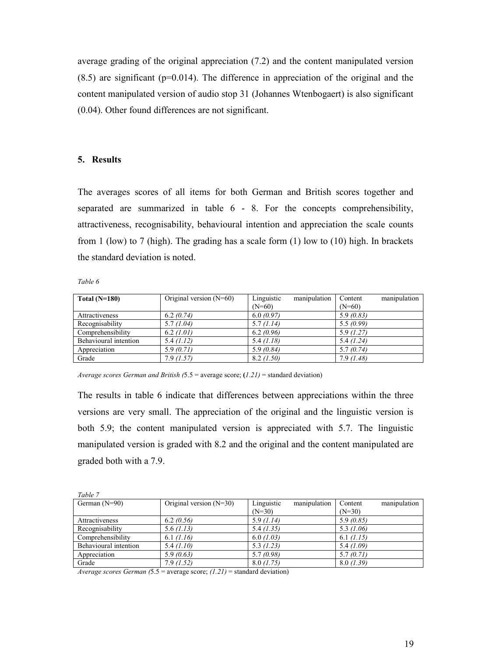average grading of the original appreciation (7.2) and the content manipulated version  $(8.5)$  are significant ( $p=0.014$ ). The difference in appreciation of the original and the content manipulated version of audio stop 31 (Johannes Wtenbogaert) is also significant (0.04). Other found differences are not significant.

# 5. Results

The averages scores of all items for both German and British scores together and separated are summarized in table 6 - 8. For the concepts comprehensibility, attractiveness, recognisability, behavioural intention and appreciation the scale counts from 1 (low) to 7 (high). The grading has a scale form (1) low to (10) high. In brackets the standard deviation is noted.

## Table 6

| Total $(N=180)$       | Original version $(N=60)$ | Linguistic | manipulation | Content   | manipulation |
|-----------------------|---------------------------|------------|--------------|-----------|--------------|
|                       |                           | $(N=60)$   |              | $(N=60)$  |              |
| <b>Attractiveness</b> | 6.2(0.74)                 | 6.0(0.97)  |              | 5.9(0.83) |              |
| Recognisability       | 5.7(1.04)                 | 5.7(1.14)  |              | 5.5(0.99) |              |
| Comprehensibility     | 6.2 (1.01)                | 6.2(0.96)  |              | 5.9(1.27) |              |
| Behavioural intention | 5.4(1.12)                 | 5.4(1.18)  |              | 5.4(1.24) |              |
| Appreciation          | 5.9(0.71)                 | 5.9(0.84)  |              | 5.7(0.74) |              |
| Grade                 | 7.9(1.57)                 | 8.2 (1.50) |              | 7.9(1.48) |              |

Average scores German and British  $(5.5 = \text{average score}; (1.21) = \text{standard deviation})$ 

The results in table 6 indicate that differences between appreciations within the three versions are very small. The appreciation of the original and the linguistic version is both 5.9; the content manipulated version is appreciated with 5.7. The linguistic manipulated version is graded with 8.2 and the original and the content manipulated are graded both with a 7.9.

| Table 7               |                           |                            |                         |
|-----------------------|---------------------------|----------------------------|-------------------------|
| German $(N=90)$       | Original version $(N=30)$ | Linguistic<br>manipulation | manipulation<br>Content |
|                       |                           | $(N=30)$                   | $(N=30)$                |
| Attractiveness        | 6.2(0.56)                 | 5.9(1.14)                  | 5.9(0.85)               |
| Recognisability       | 5.6(1.13)                 | 5.4(1.35)                  | 5.3 $(1.06)$            |
| Comprehensibility     | 6.1 (1.16)                | 6.0(1.03)                  | 6.1 (1.15)              |
| Behavioural intention | 5.4(1.10)                 | 5.3(1.23)                  | 5.4 $(1.09)$            |
| Appreciation          | 5.9(0.63)                 | 5.7(0.98)                  | 5.7(0.71)               |
| Grade                 | 7.9(1.52)                 | 8.0 (1.75)                 | 8.0(1.39)               |

Average scores German  $(5.5 = \text{average score}; (1.21) = \text{standard deviation})$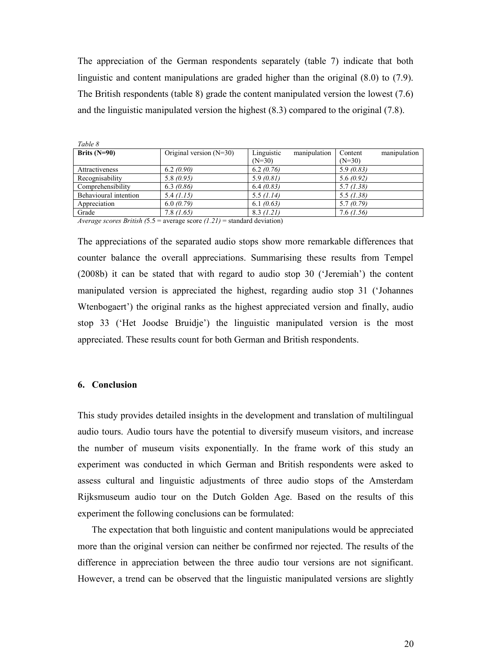The appreciation of the German respondents separately (table 7) indicate that both linguistic and content manipulations are graded higher than the original (8.0) to (7.9). The British respondents (table 8) grade the content manipulated version the lowest (7.6) and the linguistic manipulated version the highest (8.3) compared to the original (7.8).

| Table 8               |                           |                            |                         |
|-----------------------|---------------------------|----------------------------|-------------------------|
| Brits $(N=90)$        | Original version $(N=30)$ | Linguistic<br>manipulation | manipulation<br>Content |
|                       |                           | $(N=30)$                   | $(N=30)$                |
| Attractiveness        | 6.2(0.90)                 | 6.2(0.76)                  | 5.9(0.83)               |
| Recognisability       | 5.8(0.95)                 | 5.9(0.81)                  | 5.6(0.92)               |
| Comprehensibility     | 6.3(0.86)                 | 6.4(0.83)                  | 5.7(1.38)               |
| Behavioural intention | 5.4(1.15)                 | 5.5 (1.14)                 | 5.5(1.38)               |
| Appreciation          | 6.0(0.79)                 | 6.1(0.63)                  | 5.7(0.79)               |
| Grade                 | 7.8(1.65)                 | 8.3 (1.21)                 | 7.6(1.56)               |

Average scores British  $(5.5 = \text{average score } (1.21) = \text{standard deviation})$ 

The appreciations of the separated audio stops show more remarkable differences that counter balance the overall appreciations. Summarising these results from Tempel (2008b) it can be stated that with regard to audio stop 30 ('Jeremiah') the content manipulated version is appreciated the highest, regarding audio stop 31 ('Johannes Wtenbogaert') the original ranks as the highest appreciated version and finally, audio stop 33 ('Het Joodse Bruidje') the linguistic manipulated version is the most appreciated. These results count for both German and British respondents.

# 6. Conclusion

This study provides detailed insights in the development and translation of multilingual audio tours. Audio tours have the potential to diversify museum visitors, and increase the number of museum visits exponentially. In the frame work of this study an experiment was conducted in which German and British respondents were asked to assess cultural and linguistic adjustments of three audio stops of the Amsterdam Rijksmuseum audio tour on the Dutch Golden Age. Based on the results of this experiment the following conclusions can be formulated:

 The expectation that both linguistic and content manipulations would be appreciated more than the original version can neither be confirmed nor rejected. The results of the difference in appreciation between the three audio tour versions are not significant. However, a trend can be observed that the linguistic manipulated versions are slightly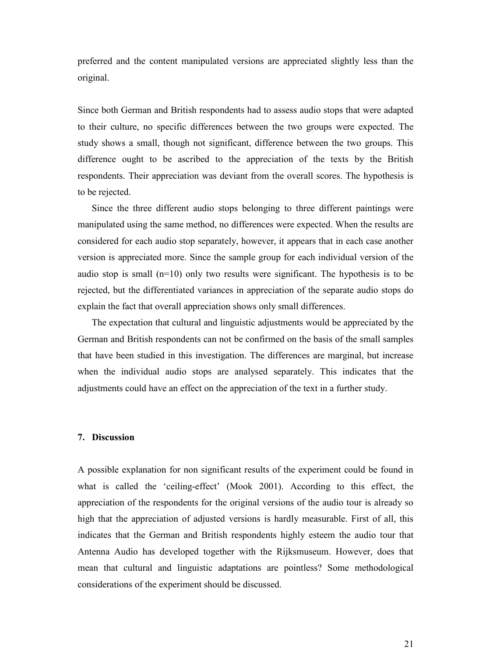preferred and the content manipulated versions are appreciated slightly less than the original.

Since both German and British respondents had to assess audio stops that were adapted to their culture, no specific differences between the two groups were expected. The study shows a small, though not significant, difference between the two groups. This difference ought to be ascribed to the appreciation of the texts by the British respondents. Their appreciation was deviant from the overall scores. The hypothesis is to be rejected.

 Since the three different audio stops belonging to three different paintings were manipulated using the same method, no differences were expected. When the results are considered for each audio stop separately, however, it appears that in each case another version is appreciated more. Since the sample group for each individual version of the audio stop is small  $(n=10)$  only two results were significant. The hypothesis is to be rejected, but the differentiated variances in appreciation of the separate audio stops do explain the fact that overall appreciation shows only small differences.

 The expectation that cultural and linguistic adjustments would be appreciated by the German and British respondents can not be confirmed on the basis of the small samples that have been studied in this investigation. The differences are marginal, but increase when the individual audio stops are analysed separately. This indicates that the adjustments could have an effect on the appreciation of the text in a further study.

# 7. Discussion

A possible explanation for non significant results of the experiment could be found in what is called the 'ceiling-effect' (Mook 2001). According to this effect, the appreciation of the respondents for the original versions of the audio tour is already so high that the appreciation of adjusted versions is hardly measurable. First of all, this indicates that the German and British respondents highly esteem the audio tour that Antenna Audio has developed together with the Rijksmuseum. However, does that mean that cultural and linguistic adaptations are pointless? Some methodological considerations of the experiment should be discussed.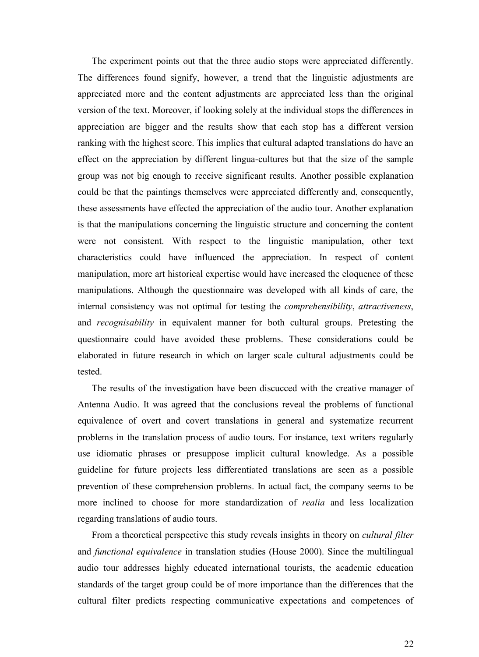The experiment points out that the three audio stops were appreciated differently. The differences found signify, however, a trend that the linguistic adjustments are appreciated more and the content adjustments are appreciated less than the original version of the text. Moreover, if looking solely at the individual stops the differences in appreciation are bigger and the results show that each stop has a different version ranking with the highest score. This implies that cultural adapted translations do have an effect on the appreciation by different lingua-cultures but that the size of the sample group was not big enough to receive significant results. Another possible explanation could be that the paintings themselves were appreciated differently and, consequently, these assessments have effected the appreciation of the audio tour. Another explanation is that the manipulations concerning the linguistic structure and concerning the content were not consistent. With respect to the linguistic manipulation, other text characteristics could have influenced the appreciation. In respect of content manipulation, more art historical expertise would have increased the eloquence of these manipulations. Although the questionnaire was developed with all kinds of care, the internal consistency was not optimal for testing the comprehensibility, attractiveness, and recognisability in equivalent manner for both cultural groups. Pretesting the questionnaire could have avoided these problems. These considerations could be elaborated in future research in which on larger scale cultural adjustments could be tested.

 The results of the investigation have been discucced with the creative manager of Antenna Audio. It was agreed that the conclusions reveal the problems of functional equivalence of overt and covert translations in general and systematize recurrent problems in the translation process of audio tours. For instance, text writers regularly use idiomatic phrases or presuppose implicit cultural knowledge. As a possible guideline for future projects less differentiated translations are seen as a possible prevention of these comprehension problems. In actual fact, the company seems to be more inclined to choose for more standardization of *realia* and less localization regarding translations of audio tours.

From a theoretical perspective this study reveals insights in theory on *cultural filter* and *functional equivalence* in translation studies (House 2000). Since the multilingual audio tour addresses highly educated international tourists, the academic education standards of the target group could be of more importance than the differences that the cultural filter predicts respecting communicative expectations and competences of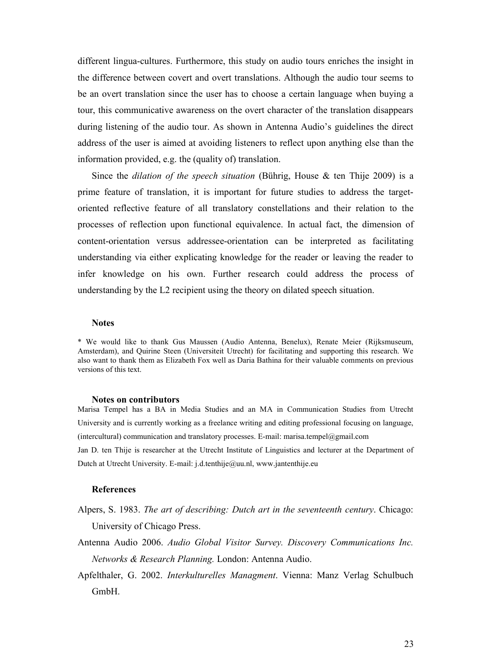different lingua-cultures. Furthermore, this study on audio tours enriches the insight in the difference between covert and overt translations. Although the audio tour seems to be an overt translation since the user has to choose a certain language when buying a tour, this communicative awareness on the overt character of the translation disappears during listening of the audio tour. As shown in Antenna Audio's guidelines the direct address of the user is aimed at avoiding listeners to reflect upon anything else than the information provided, e.g. the (quality of) translation.

Since the *dilation of the speech situation* (Bührig, House  $\&$  ten Thije 2009) is a prime feature of translation, it is important for future studies to address the targetoriented reflective feature of all translatory constellations and their relation to the processes of reflection upon functional equivalence. In actual fact, the dimension of content-orientation versus addressee-orientation can be interpreted as facilitating understanding via either explicating knowledge for the reader or leaving the reader to infer knowledge on his own. Further research could address the process of understanding by the L2 recipient using the theory on dilated speech situation.

# **Notes**

\* We would like to thank Gus Maussen (Audio Antenna, Benelux), Renate Meier (Rijksmuseum, Amsterdam), and Quirine Steen (Universiteit Utrecht) for facilitating and supporting this research. We also want to thank them as Elizabeth Fox well as Daria Bathina for their valuable comments on previous versions of this text.

#### Notes on contributors

Marisa Tempel has a BA in Media Studies and an MA in Communication Studies from Utrecht University and is currently working as a freelance writing and editing professional focusing on language, (intercultural) communication and translatory processes. E-mail: marisa.tempel@gmail.com Jan D. ten Thije is researcher at the Utrecht Institute of Linguistics and lecturer at the Department of Dutch at Utrecht University. E-mail: j.d.tenthije@uu.nl, www.jantenthije.eu

## References

- Alpers, S. 1983. The art of describing: Dutch art in the seventeenth century. Chicago: University of Chicago Press.
- Antenna Audio 2006. Audio Global Visitor Survey. Discovery Communications Inc. Networks & Research Planning. London: Antenna Audio.
- Apfelthaler, G. 2002. Interkulturelles Managment. Vienna: Manz Verlag Schulbuch GmbH.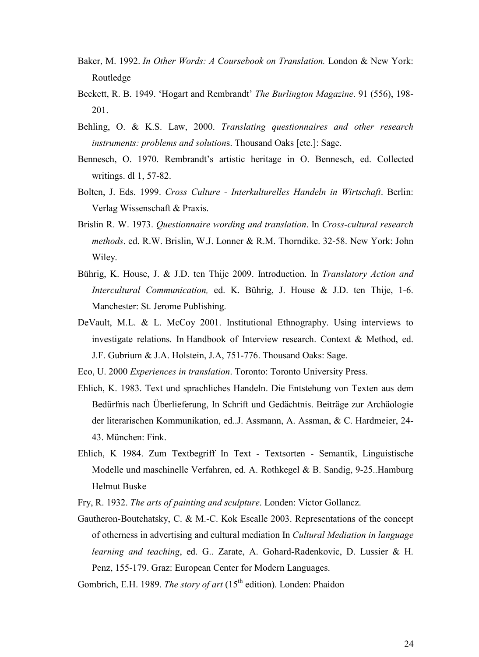- Baker, M. 1992. In Other Words: A Coursebook on Translation. London & New York: Routledge
- Beckett, R. B. 1949. 'Hogart and Rembrandt' The Burlington Magazine. 91 (556), 198- 201.
- Behling, O. & K.S. Law, 2000. Translating questionnaires and other research instruments: problems and solutions. Thousand Oaks [etc.]: Sage.
- Bennesch, O. 1970. Rembrandt's artistic heritage in O. Bennesch, ed. Collected writings. dl 1, 57-82.
- Bolten, J. Eds. 1999. Cross Culture Interkulturelles Handeln in Wirtschaft. Berlin: Verlag Wissenschaft & Praxis.
- Brislin R. W. 1973. Questionnaire wording and translation. In Cross-cultural research methods. ed. R.W. Brislin, W.J. Lonner & R.M. Thorndike. 32-58. New York: John Wiley.
- Bührig, K. House, J. & J.D. ten Thije 2009. Introduction. In Translatory Action and Intercultural Communication, ed. K. Bührig, J. House & J.D. ten Thije, 1-6. Manchester: St. Jerome Publishing.
- DeVault, M.L. & L. McCoy 2001. Institutional Ethnography. Using interviews to investigate relations. In Handbook of Interview research. Context & Method, ed. J.F. Gubrium & J.A. Holstein, J.A, 751-776. Thousand Oaks: Sage.

Eco, U. 2000 Experiences in translation. Toronto: Toronto University Press.

- Ehlich, K. 1983. Text und sprachliches Handeln. Die Entstehung von Texten aus dem Bedürfnis nach Überlieferung, In Schrift und Gedächtnis. Beiträge zur Archäologie der literarischen Kommunikation, ed..J. Assmann, A. Assman, & C. Hardmeier, 24- 43. München: Fink.
- Ehlich, K 1984. Zum Textbegriff In Text Textsorten Semantik, Linguistische Modelle und maschinelle Verfahren, ed. A. Rothkegel & B. Sandig, 9-25..Hamburg Helmut Buske
- Fry, R. 1932. The arts of painting and sculpture. Londen: Victor Gollancz.
- Gautheron-Boutchatsky, C. & M.-C. Kok Escalle 2003. Representations of the concept of otherness in advertising and cultural mediation In Cultural Mediation in language learning and teaching, ed. G.. Zarate, A. Gohard-Radenkovic, D. Lussier & H. Penz, 155-179. Graz: European Center for Modern Languages.

Gombrich, E.H. 1989. The story of art (15<sup>th</sup> edition). Londen: Phaidon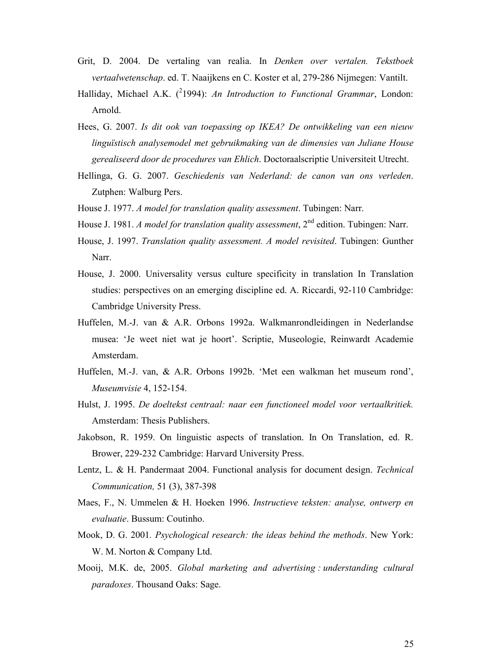- Grit, D. 2004. De vertaling van realia. In Denken over vertalen. Tekstboek vertaalwetenschap. ed. T. Naaijkens en C. Koster et al, 279-286 Nijmegen: Vantilt.
- Halliday, Michael A.K.  $(^{2}1994)$ : An Introduction to Functional Grammar, London: Arnold.
- Hees, G. 2007. Is dit ook van toepassing op IKEA? De ontwikkeling van een nieuw linguïstisch analysemodel met gebruikmaking van de dimensies van Juliane House gerealiseerd door de procedures van Ehlich. Doctoraalscriptie Universiteit Utrecht.
- Hellinga, G. G. 2007. Geschiedenis van Nederland: de canon van ons verleden. Zutphen: Walburg Pers.
- House J. 1977. A model for translation quality assessment. Tubingen: Narr.
- House J. 1981. A model for translation quality assessment,  $2^{nd}$  edition. Tubingen: Narr.
- House, J. 1997. Translation quality assessment. A model revisited. Tubingen: Gunther Narr.
- House, J. 2000. Universality versus culture specificity in translation In Translation studies: perspectives on an emerging discipline ed. A. Riccardi, 92-110 Cambridge: Cambridge University Press.
- Huffelen, M.-J. van & A.R. Orbons 1992a. Walkmanrondleidingen in Nederlandse musea: 'Je weet niet wat je hoort'. Scriptie, Museologie, Reinwardt Academie Amsterdam.
- Huffelen, M.-J. van, & A.R. Orbons 1992b. 'Met een walkman het museum rond', Museumvisie 4, 152-154.
- Hulst, J. 1995. De doeltekst centraal: naar een functioneel model voor vertaalkritiek. Amsterdam: Thesis Publishers.
- Jakobson, R. 1959. On linguistic aspects of translation. In On Translation, ed. R. Brower, 229-232 Cambridge: Harvard University Press.
- Lentz, L. & H. Pandermaat 2004. Functional analysis for document design. Technical Communication, 51 (3), 387-398
- Maes, F., N. Ummelen & H. Hoeken 1996. Instructieve teksten: analyse, ontwerp en evaluatie. Bussum: Coutinho.
- Mook, D. G. 2001. Psychological research: the ideas behind the methods. New York: W. M. Norton & Company Ltd.
- Mooij, M.K. de, 2005. Global marketing and advertising : understanding cultural paradoxes. Thousand Oaks: Sage.